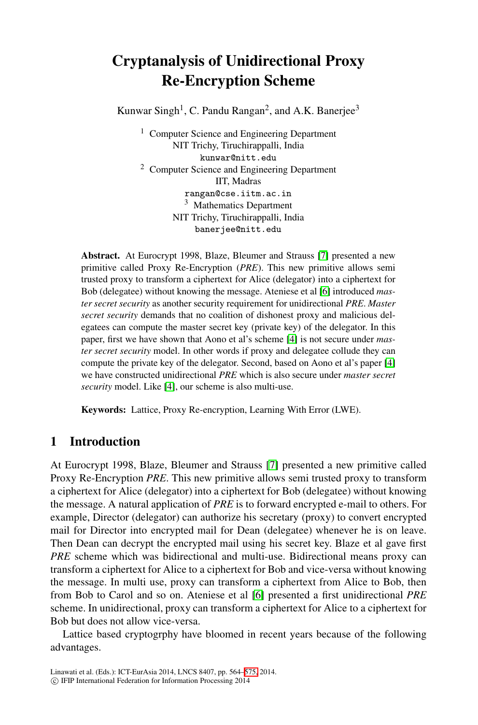# **Cryptanalysis of Unidirectional Proxy Re-Encryption Scheme**

Kunwar Singh<sup>1</sup>, C. Pandu Rangan<sup>2</sup>, and A.K. Banerjee<sup>3</sup>

<sup>1</sup> Computer Science and Engineering Department NIT Trichy, Tiruchirappalli, India kunwar[@ni](#page-10-0)tt.edu <sup>2</sup> Computer Science and Engineering Department IIT, Madras rangan@cse[.i](#page-10-1)itm.ac.in <sup>3</sup> Mathematics Department NIT Trichy, Tiruchirappalli, India banerjee@nitt.edu

**Abstract.** At Eurocrypt 1998, Blaze, Bleumer and Strauss [7] presented a new primitive called Proxy Re-Encryption (*PRE*). This ne[w](#page-10-2) [p](#page-10-2)rimitive allows semi trusted proxy to transform a ciphertext for Alice (delegator) into a ciphertext for [Bo](#page-10-2)b (delegatee) without knowing the message. Ateniese et al [6] introduced *master secret security* as another security requirement for unidirectional *PRE*. *Master secret security* demands that no coalition of dishonest proxy and malicious delegatees can compute the master secret key (private key) of the delegator. In this paper, first we have shown that Aono et al's scheme [4] is not secure under *master secret security* model. In other words if proxy and delegatee collude they can compute the private key o[f th](#page-10-0)e delegator. Second, based on Aono et al's paper [4] we have constructed unidirectional *PRE* which is also secure under *master secret security* model. Like [4], our scheme is also multi-use.

**Keywords:** Lattice, Proxy Re-encryption, Learning With Error (LWE).

# **1 Introduction**

At Eurocrypt 1998, Blaze, Bleumer and Strauss [7] presented a new primitive called Proxy Re-Encryption *PRE*. This new primitive allows semi trusted proxy to transform a ciphertext for Alice (dele[gat](#page-10-1)or) into a ciphertext for Bob (delegatee) without knowing the message. A natural application of *PRE* is to forward encrypted e-mail to others. For example, Director (delegator) can authorize his secretary (proxy) to convert encrypted mail for Director into encrypted mail for Dean (delegatee) whenever he is on leave. Then Dean can decrypt the encrypted mail using his secret key. Blaze et al gave first *PRE* scheme which was bidirectional and multi-use. Bidirectional means proxy can transform a ciphertext fo[r Al](#page-11-0)ice to a ciphertext for Bob and vice-versa without knowing the message. In multi use, proxy can transform a ciphertext from Alice to Bob, then from Bob to Carol and so on. Ateniese et al [6] presented a first unidirectional *PRE* scheme. In unidirectional, proxy can transform a ciphertext for Alice to a ciphertext for Bob but does not allow vice-versa.

Lattice based cryptogrphy have bloomed in recent years because of the following advantages.

Linawati et al. (Eds.): ICT-EurAsia 2014, LNCS 8407, pp. 564–575, 2014. -c IFIP International Federation for Information Processing 2014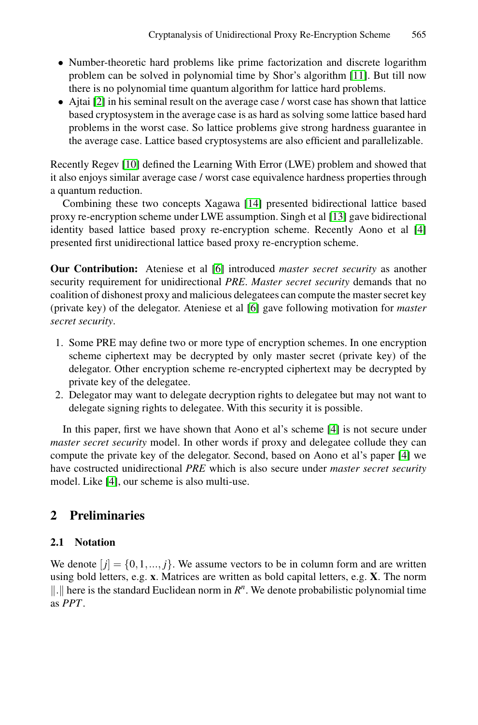- Number-theoretic hard problems like prime factorization and discrete logarithm problem can be solved in polynomial time by Shor's algorithm [11]. But till now there is no polynomial time quantum algorithm for lattice hard problems.
- Ajtai [2] in his semin[al re](#page-11-1)sult on the average case / worst case has shown that lattice based cryptosystem in the average case is [as h](#page-11-2)ard as solving some lattice based hard problems in the worst case. So lattice problems give strong [ha](#page-10-2)rdness guarantee in the average case. Lattice based cryptosystems are also efficient and parallelizable.

Recently Regev [[10\]](#page-10-1) defined the Learning With Error (LWE) problem and showed that it also enjoys similar average case / worst case equivalence hardness properties through a quantum reduction.

Combining these two [co](#page-10-1)ncepts Xagawa [14] presented bidirectional lattice based proxy re-encryption scheme under LWE assumption. Singh et al [13] gave bidirectional identity based lattice based proxy re-encryption scheme. Recently Aono et al [4] presented first unidirectional lattice based proxy re-encryption scheme.

**Our Contribution:** Ateniese et al [6] introduced *master secret security* as another security requirement for unidirectional *PRE*. *Master secret security* demands that no coalition of dishonest proxy and malicious delegatees can compute the master secret key (private key) of the delegator. Ateniese et al [6] gave following motivation for *master secret security*.

- 1. Some PRE may define two or more type of encryption schemes. In one encryption scheme ciphertext may be decrypted by only master s[ec](#page-10-2)ret (private key) of the delegator. Other encryption scheme re-encrypted ciphertext may be decrypted by private key of the delegatee.
- 2. Delegator may want to delegate decryption rights to delegatee but may not want to delegate signing rights to delegatee. With this security it is possible.

In this paper, first we have shown that Aono et al's scheme [4] is not secure under *master secret security* model. In other words if proxy and delegatee collude they can compute the private key of the delegator. Second, based on Aono et al's paper [4] we have costructed unidirectional *PRE* which is also secure under *master secret security* model. Like [4], our scheme is also multi-use.

# **2 Preliminaries**

# **2.1 Notation**

We denote  $[i] = \{0, 1, ..., j\}$ . We assume vectors to be in column form and are written using bold letters, e.g. **x**. Matrices are written as bold capital letters, e.g. **X**. The norm ||.|| here is the standard Euclidean norm in  $R^n$ . We denote probabilistic polynomial time as *PPT*.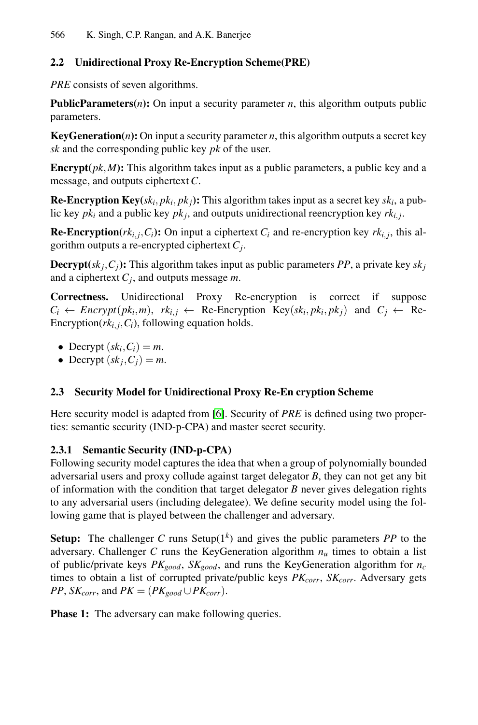#### **2.2 Unidirectional Proxy Re-Encryption Scheme(PRE)**

*PRE* consists of seven algorithms.

**PublicParameters(***n***):** On input a security parameter *n*, this algorithm outputs public parameters.

**KeyGeneration(** $n$ **):** On input a security parameter  $n$ , this algorithm outputs a secret key *sk* and the corresponding public key *pk* of the user.

**Encrypt** $(pk, M)$ : This algorithm takes input as a public parameters, a public key and a message, and outputs ciphertext*C*.

**Re-Encryption Key**( $sk_i, pk_j$ ): This algorithm takes input as a secret key  $sk_i$ , a public key  $pk_i$  and a public key  $pk_j$ , and outputs unidirectional reencryption key  $rk_{i,j}$ .

**Re-Encryption**( $rk_{i,i}, C_i$ ): On input a ciphertext  $C_i$  and re-encryption key  $rk_{i,i}$ , this algorithm outputs a re-encrypted ciphertext *Cj*.

**Decrypt** $(sk_j, C_j)$ : This algorithm takes input as public parameters *PP*, a private key  $sk_j$ and a ciphertext *Cj*, and outputs message *m*.

**Correctness.** Unidirectional Proxy Re-encryption is correct if suppose  $C_i \leftarrow \text{Encrypt}(pk_i, m), \ rk_{i,j} \leftarrow \text{Re-Encryption Key}(sk_i, pk_j, pk_j) \text{ and } C_j \leftarrow \text{Re-}$ Encryption( $rk_{i,j}, C_i$ ), following equation holds.

- Decrypt  $(sk_i, C_i) = m$ .
- Decrypt  $(sk<sub>i</sub>, C<sub>j</sub>) = m$ .

#### **2.3 Security Model for Unidirectional Proxy Re-En cryption Scheme**

Here security model is adapted from [6]. Security of *PRE* is defined using two properties: semantic security (IND-p-CPA) and master secret security.

#### **2.3.1 Semantic Security (IND-p-CPA)**

Following security model captures the idea that when a group of polynomially bounded adversarial users and proxy collude against target delegator *B*, they can not get any bit of information with the condition that target delegator *B* never gives delegation rights to any adversarial users (including delegatee). We define security model using the following game that is played between the challenger and adversary.

**Setup:** The challenger C runs Setup( $1<sup>k</sup>$ ) and gives the public parameters PP to the adversary. Challenger  $C$  runs the KeyGeneration algorithm  $n<sub>u</sub>$  times to obtain a list of public/private keys  $PK_{good}$ ,  $SK_{good}$ , and runs the KeyGeneration algorithm for  $n_c$ times to obtain a list of corrupted private/public keys  $PK_{corr}$ ,  $SK_{corr}$ . Adversary gets *PP*, *SK<sub>corr</sub>*, and *PK* = ( $PK_{good} \cup PK_{corr}$ ).

**Phase 1:** The adversary can make following queries.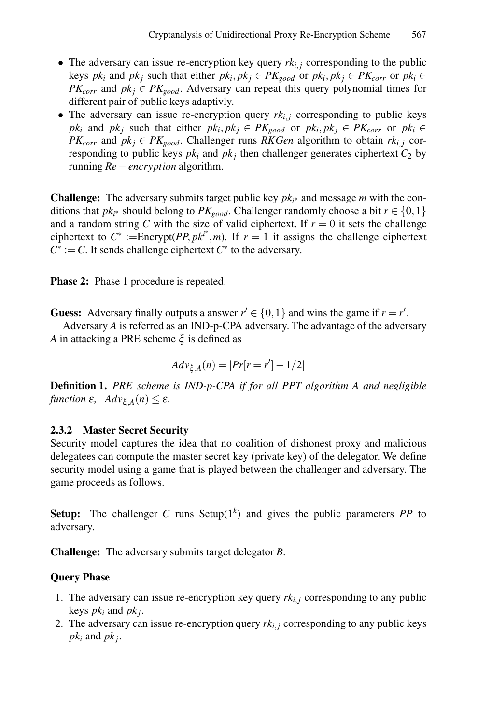- The adversary can issue re-encryption key query  $rk_{i,i}$  corresponding to the public keys  $pk_i$  and  $pk_j$  such that either  $pk_i, pk_j \in PK_{good}$  or  $pk_i, pk_j \in PK_{corr}$  or  $pk_i \in$ *PK<sub>corr</sub>* and  $pk_j \in PK_{good}$ . Adversary can repeat this query polynomial times for different pair of public keys adaptivly.
- The adversary can issue re-encryption query  $rk_{i,j}$  corresponding to public keys *pk<sub>i</sub>* and *pk<sub>j</sub>* such that either  $pk_i, pk_j \in PK_{good}$  or  $pk_i, pk_j \in PK_{corr}$  or  $pk_i \in$ *PK<sub>corr</sub>* and  $pk_j \in PK_{good}$ . Challenger runs *RKGen* algorithm to obtain  $rk_{i,j}$  corresponding to public keys  $pk_i$  and  $pk_j$  then challenger generates ciphertext  $C_2$  by running *Re*−*encryption* algorithm.

**Challenge:** The adversary submits target public key  $pk_{i^*}$  and message *m* with the conditions that *pk<sub>i*</sub><sup>∗</sup> should belong to *PK<sub>good</sub>*. Challenger randomly choose a bit  $r \in \{0, 1\}$ and a random string *C* with the size of valid ciphertext. If  $r = 0$  it sets the challenge ciphertext to  $C^* := \text{Energy}(PP, pk^*, m)$ . If  $r = 1$  it assigns the challenge ciphertext  $C^* := C$ . It sends challenge ciphertext  $C^*$  to the adversary.

**Phase 2:** Phase 1 procedure is repeated.

**Guess:** Adversary finally outputs a answer  $r' \in \{0, 1\}$  and wins the game if  $r = r'$ .

Adversary *A* is referred as an IND-p-CPA adversary. The advantage of the adversary *A* in attacking a PRE scheme  $\xi$  is defined as

$$
Adv_{\xi,A}(n) = |Pr[r = r'] - 1/2|
$$

**Definition 1.** *PRE scheme is IND-p-CPA if for all PPT algorithm A and negligible function*  $\varepsilon$ *, Adv*<sub>ξ</sub>  $_A(n) \leq \varepsilon$ *.* 

### **2.3.2 Master Secret Security**

Security model captures the idea that no coalition of dishonest proxy and malicious delegatees can compute the master secret key (private key) of the delegator. We define security model using a game that is played between the challenger and adversary. The game proceeds as follows.

**Setup:** The challenger *C* runs Setup( $1<sup>k</sup>$ ) and gives the public parameters *PP* to adversary.

**Challenge:** The adversary submits target delegator *B*.

### **Query Phase**

- 1. The adversary can issue re-encryption key query  $rk_{i,j}$  corresponding to any public keys *pki* and *pkj*.
- 2. The adversary can issue re-encryption query  $rk_{i,j}$  corresponding to any public keys  $pk_i$  and  $pk_j$ .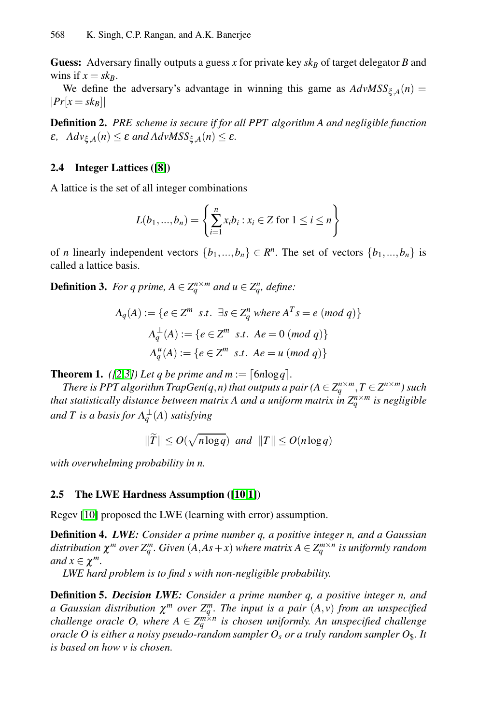**Gue[ss:](#page-10-3)** Adversary finally outputs a guess *x* for private key  $s k_B$  of target delegator *B* and wins if  $x = sk_B$ .

We define the adversary's advantage in winning this game as  $AdvMSS_{\xi,A}(n)$  =  $|Pr[x = sk_B]|$ 

**Definition 2.** *PRE scheme is secure if for all PPT algorithm A and negligible function*  $\epsilon$ *,*  $Adv_{\xi A}(n) \leq \epsilon$  *and AdvMSS*<sub> $\xi A}(n) \leq \epsilon$ *.*</sub>

### **2.4 Integer Lattices ([8])**

A lattice is the set of all integer combinations

$$
L(b_1, ..., b_n) = \left\{ \sum_{i=1}^n x_i b_i : x_i \in Z \text{ for } 1 \le i \le n \right\}
$$

of *n* linearly independent vectors  $\{b_1, ..., b_n\} \in \mathbb{R}^n$ . The set of vectors  $\{b_1, ..., b_n\}$  is called a lattice basis.

**Definition 3.** For q prime,  $A \in Z_q^{n \times m}$  and  $u \in Z_q^n$ , define:

$$
\Lambda_q(A) := \{ e \in \mathbb{Z}^m \text{ s.t. } \exists s \in \mathbb{Z}_q^n \text{ where } A^T s = e \text{ (mod } q) \}
$$

$$
\Lambda_q^{\perp}(A) := \{ e \in \mathbb{Z}^m \text{ s.t. } Ae = 0 \text{ (mod } q) \}
$$

$$
\Lambda_q^u(A) := \{ e \in \mathbb{Z}^m \text{ s.t. } Ae = u \text{ (mod } q) \}
$$

**Theorem 1.** *([2,3])* Let *q* be prime and  $m := \lfloor 6n \log q \rfloor$ .

*There is PPT algorithm TrapGen(q,n) that outputs a pair (* $A \in Z_a^{n \times m}$ *,*  $T \in Z^{n \times m}$ *) such that statistically dista[nce](#page-10-4) [be](#page-10-5)tween matrix A and a uniform matrix*  $\int_{a}^{n} Z_{a}^{n \times m}$  *is negligible*  $and~T$  is a basis for  $\Lambda^{\perp}_q(A)$  satisfying

$$
\|\widetilde{T}\| \le O(\sqrt{n \log q}) \text{ and } \|T\| \le O(n \log q)
$$

*with overwhelming probability in n.*

#### **2.5 The LWE Hardness Assumption ([10,1])**

Regev [10] proposed the LWE (learning with error) assumption.

**Definition 4.** *LWE: Consider a prime number q, a positive integer n, and a Gaussian distribution*  $\chi^m$  *over*  $Z_q^m$ *. Given*  $(A, As + x)$  *where matrix*  $A \in Z_q^{m \times n}$  *is uniformly random and*  $x \in \chi^m$ .

*LWE hard problem is to find s with non-negligible probability.*

**Definition 5.** *Decision LWE: Consider a prime number q, a positive integer n, and a* Gaussian distribution  $\chi^m$  over  $Z_q^m$ . The input is a pair  $(A, v)$  from an unspecified *challenge oracle O, where*  $A \in \mathbb{Z}_q^{m \times n}$  *is chosen uniformly. An unspecified challenge oracle O is either a noisy pseudo-random sampler*  $O_s$  *or a truly random sampler*  $O_s$ *. It is based on how v is chosen.*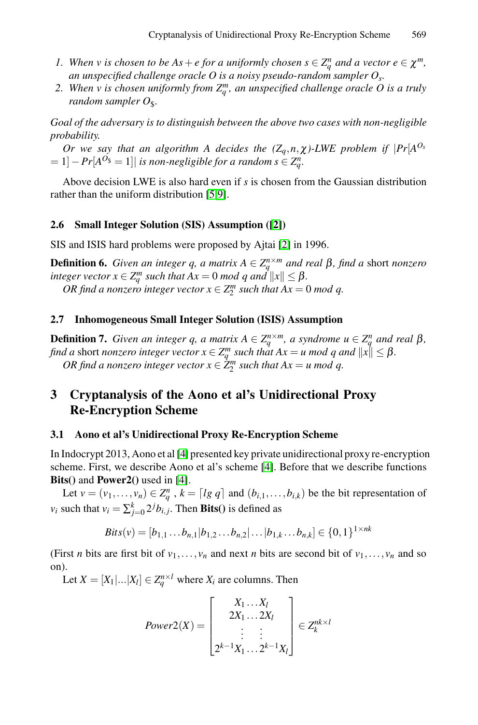- *1.* When *v* is chosen to be  $As + e$  for a uniformly chosen  $s \in \mathbb{Z}_q^n$  and a vector  $e \in \chi^m$ , *an unspecified challenge oracle O is a noisy pseudo-random sampler Os.*
- 2. When v is chosen uniformly from  $Z_q^m$ , an unspecified challenge oracle O is a truly *random sam[pl](#page-10-6)[er](#page-10-7)*  $O_s$ .

*Goal of the adversary is to disti[ng](#page-10-8)uish between the above two cases with non-negligible probability.*

*Or we say that an algorith[m](#page-10-8) A decides the*  $(Z_q, n, \chi)$ *-LWE problem if*  $|Pr[A^{O_s}]$  $= 1$ ]  $- Pr[A<sup>O<sub>s</sub></sup> = 1]$  *is non-negligible for a random s*  $\in Z_q^n$ .

Above decision LWE is also hard even if *s* is chosen from the Gaussian distribution rather than the uniform distribution [5,9].

#### **2.6 Small Integer Solution (SIS) Assumption ([2])**

SIS and ISIS hard problems were proposed by Ajtai [2] in 1996.

**Definition 6.** *Given an integer q, a matrix*  $A \in \mathbb{Z}_q^{n \times m}$  *and real*  $\beta$ *, find a short nonzero integer vector*  $x \in \mathbb{Z}_q^m$  *such that*  $Ax = 0$  *mod q and*  $||x|| \leq \beta$ *. OR find a nonzero integer vector*  $x \in Z_2^m$  *such that*  $Ax = 0$  *mod q.* 

#### **2.7 Inhomogeneous Small Integer Solution (ISIS) Assumption**

**Definition 7.** *Given an integer q, a matrix*  $A \in \mathbb{Z}_q^{n \times m}$ *, a syndrome*  $u \in \mathbb{Z}_q^n$  *and real*  $\beta$ *, find a* sho[rt](#page-10-2) *nonzero integer vector*  $x \in \mathbb{Z}_q^m$  *such that*  $Ax = u \bmod q$  *and*  $||x|| \leq \beta$ . *OR find a nonzero integer [ve](#page-10-2)ctor*  $x \in \dot{Z}_2^m$  *such that*  $Ax = u \mod q$ .

# **3 Cryptanalysis of the Aono et al's Unidirectional Proxy Re-Encryption Scheme**

#### **3.1 Aono et al's Unidirectional Proxy Re-Encryption Scheme**

In Indocrypt 2013, Aono et al [4] presented key private unidirectional proxy re-encryption scheme. First, we describe Aono et al's scheme [4]. Before that we describe functions **Bits()** and **Power2()** used in [4].

Let  $v = (v_1, \ldots, v_n) \in \mathbb{Z}_q^n$ ,  $k = [lg q]$  and  $(b_{i,1}, \ldots, b_{i,k})$  be the bit representation of *v<sub>i</sub>* such that  $v_i = \sum_{j=0}^{k} 2^j b_{i,j}$ . Then **Bits**() is defined as

$$
Bits(v) = [b_{1,1} \dots b_{n,1} | b_{1,2} \dots b_{n,2} | \dots | b_{1,k} \dots b_{n,k}] \in \{0,1\}^{1 \times nk}
$$

(First *n* bits are first bit of  $v_1, \ldots, v_n$  and next *n* bits are second bit of  $v_1, \ldots, v_n$  and so on).

Let  $X = [X_1 | ... | X_l] \in \mathbb{Z}_q^{n \times l}$  where  $X_i$  are columns. Then

$$
Power2(X) = \begin{bmatrix} X_1 \dots X_l \\ 2X_1 \dots 2X_l \\ \vdots \\ 2^{k-1}X_1 \dots 2^{k-1}X_l \end{bmatrix} \in Z_k^{nk \times l}
$$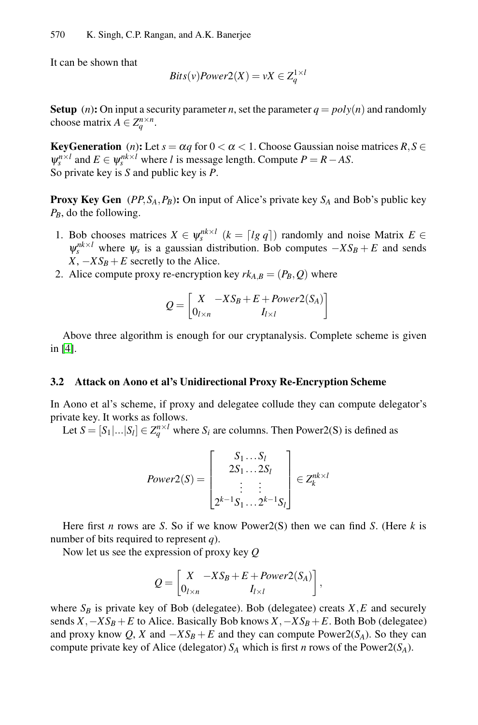It can be shown that

$$
Bits(v)Power2(X) = vX \in Z_q^{1 \times i}
$$

**Setup** (*n*): On input a security parameter *n*, set the parameter  $q = poly(n)$  and randomly choose matrix  $A \in \mathbb{Z}_q^{n \times n}$ .

**KeyGeneration** (*n*): Let  $s = \alpha q$  for  $0 < \alpha < 1$ . Choose Gaussian noise matrices  $R, S \in$  $\psi_{s}^{n \times l}$  and  $E \in \psi_{s}^{nk \times l}$  where *l* is message length. Compute  $P = R - AS$ . So private key is *S* and public key is *P*.

**Proxy Key Gen** ( $PP$ ,  $S_A$ ,  $P_B$ ): On input of Alice's private key  $S_A$  and Bob's public key *PB*, do the following.

- 1. Bob chooses matrices  $X \in \psi_s^{nk \times l}$  ( $k = [lg q]$ ) randomly and noise Matrix  $E \in$  $\psi_s^{nk \times l}$  where  $\psi_s$  is a gaussian distribution. Bob computes  $-XS_B + E$  and sends  $X, -XS_B + E$  secretly to the Alice.
- 2. Alice compute proxy re-encryption key  $rk_{A,B} = (P_B, Q)$  where

$$
Q = \begin{bmatrix} X & -XS_B + E + Power2(S_A) \\ 0_{l \times n} & I_{l \times l} \end{bmatrix}
$$

Above three algorithm is enough for our cryptanalysis. Complete scheme is given in [4].

#### **3.2 Attack on Aono et al's Unidirectional Proxy Re-Encryption Scheme**

In Aono et al's scheme, if proxy and delegatee collude they can compute delegator's private key. It works as follows.

Let  $S = [S_1|...|S_l] \in \mathbb{Z}_q^{n \times l}$  where  $S_i$  are columns. Then Power2(S) is defined as

$$
Power2(S) = \begin{bmatrix} S_1 \dots S_l \\ 2S_1 \dots 2S_l \\ \vdots \\ 2^{k-1}S_1 \dots 2^{k-1}S_l \end{bmatrix} \in Z_k^{nk \times l}
$$

Here first *n* rows are *S*. So if we know Power2(S) then we can find *S*. (Here *k* is number of bits required to represent *q*).

Now let us see the expression of proxy key *Q*

$$
Q = \begin{bmatrix} X & -XS_B + E + Power2(S_A) \\ 0_{l \times n} & I_{l \times l} \end{bmatrix},
$$

where  $S_B$  is private key of Bob (delegatee). Bob (delegatee) creats  $X, E$  and securely sends  $X$ *,*−*XS<sub>B</sub>* + *E* to Alice. Basically Bob knows  $X$ *,*−*XS<sub>B</sub>* + *E*. Both Bob (delegatee) and proxy know  $Q$ ,  $X$  and  $-XS_B + E$  and they can compute Power2( $S_A$ ). So they can compute private key of Alice (delegator)  $S_A$  which is first *n* rows of the Power2( $S_A$ ).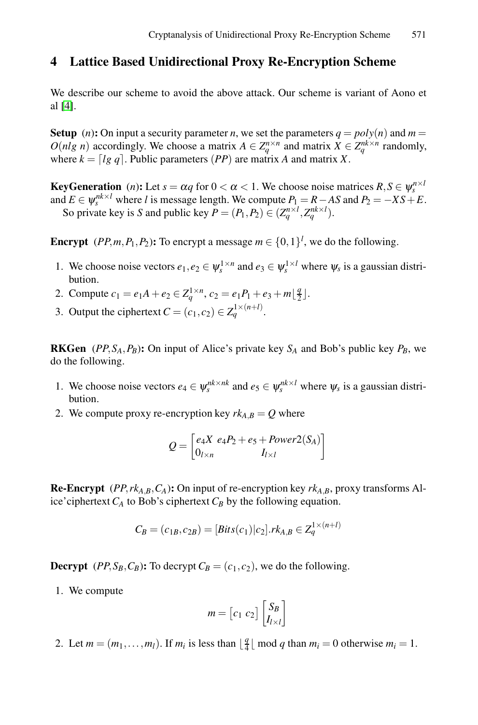# **4 Lattice Based Unidirectional Proxy Re-Encryption Scheme**

We describe our scheme to avoid the above attack. Our scheme is variant of Aono et al [4].

**Setup** (*n*)**:** On input a security parameter *n*, we set the parameters  $q = poly(n)$  and  $m =$ *O*(*nlg n*) accordingly. We choose a matrix  $A \in Z_q^{n \times n}$  and matrix  $X \in Z_q^{n \times n}$  randomly, where  $k = \lfloor lg \ q \rfloor$ . Public parameters  $(PP)$  are matrix *A* and matrix *X*.

**KeyGeneration** (*n*): Let  $s = \alpha q$  for  $0 < \alpha < 1$ . We choose noise matrices  $R, S \in \Psi_{\alpha}^{n \times l}$ and *E* ∈  $\psi_s^{nk \times l}$  where *l* is message length. We compute  $P_1 = R - AS$  and  $P_2 = -XS + E$ . So private key is *S* and public key  $P = (P_1, P_2) \in (Z_q^{n \times l}, Z_q^{nk \times l})$ .

**Encrypt** (*PP,m*,*P*<sub>1</sub>*,P*<sub>2</sub>): To encrypt a message  $m \in \{0, 1\}^l$ , we do the following.

- 1. We choose noise vectors  $e_1, e_2 \in \psi_s^{1 \times n}$  and  $e_3 \in \psi_s^{1 \times l}$  where  $\psi_s$  is a gaussian distribution.
- 2. Compute  $c_1 = e_1A + e_2 \in \mathbb{Z}_q^{1 \times n}$ ,  $c_2 = e_1P_1 + e_3 + m\left\lfloor \frac{q}{2} \right\rfloor$ .
- 3. Output the ciphertext  $C = (c_1, c_2) \in Z_q^{1 \times (n+l)}$ .

**RKGen** (*PP*,  $S_A$ ,  $P_B$ ): On input of Alice's private key  $S_A$  and Bob's public key  $P_B$ , we do the following.

- 1. We choose noise vectors  $e_4 \in \psi_s^{nk \times nk}$  and  $e_5 \in \psi_s^{nk \times l}$  where  $\psi_s$  is a gaussian distribution.
- 2. We compute proxy re-encryption key  $rk_{AB} = Q$  where

$$
Q = \begin{bmatrix} e_4X & e_4P_2 + e_5 + Power2(S_A) \\ 0_{l \times n} & I_{l \times l} \end{bmatrix}
$$

**Re-Encrypt** (*PP,rk*<sub>*A*</sub>*,B*,*C*<sub>*A*</sub>)**:** On input of re-encryption key *rk*<sub>*A*</sub>*B*, proxy transforms Alice'ciphertext  $C_A$  to Bob's ciphertext  $C_B$  by the following equation.

$$
C_B = (c_{1B}, c_{2B}) = [Bits(c_1)|c_2].rk_{A,B} \in Z_q^{1 \times (n+1)}
$$

**Decrypt** (*PP,S<sub>B</sub>,C<sub>B</sub>*)**:** To decrypt  $C_B = (c_1, c_2)$ , we do the following.

1. We compute

$$
m = [c_1 \ c_2] \begin{bmatrix} S_B \\ I_{l \times l} \end{bmatrix}
$$

2. Let  $m = (m_1, \ldots, m_l)$ . If  $m_i$  is less than  $\lfloor \frac{q}{4} \rfloor \mod q$  than  $m_i = 0$  otherwise  $m_i = 1$ .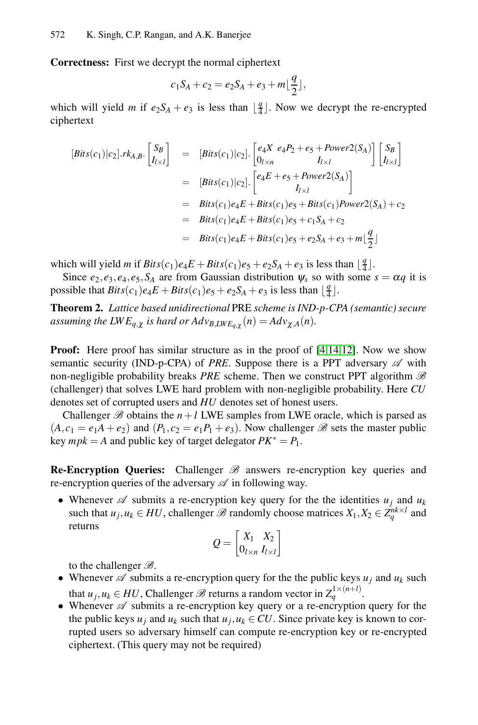**Correctness:** First we decrypt the normal ciphertext

$$
c_1 S_A + c_2 = e_2 S_A + e_3 + m \lfloor \frac{q}{2} \rfloor,
$$

which will yield *m* if  $e_2S_A + e_3$  is less than  $\lfloor \frac{q}{4} \rfloor$ . Now we decrypt the re-encrypted ciphertext

$$
[Bits(c_1)|c_2].rk_{A,B}.\begin{bmatrix} S_B \\ I_{l \times l} \end{bmatrix} = [Bits(c_1)|c_2].\begin{bmatrix} e_4X & e_4P_2 + e_5 + Power2(S_A) \\ 0_{l \times n} & I_{l \times l} \end{bmatrix} \begin{bmatrix} S_B \\ I_{l \times l} \end{bmatrix}
$$
  
\n
$$
= [Bits(c_1)|c_2].\begin{bmatrix} e_4E + e_5 + Power2(S_A) \\ I_{l \times l} \end{bmatrix}
$$
  
\n
$$
= Bits(c_1)e_4E + Bits(c_1)e_5 + Bits(c_1)Power2(S_A) + c_2
$$
  
\n
$$
= Bits(c_1)e_4E + Bits(c_1)e_5 + c_1S_A + c_2
$$
  
\n
$$
= Bits(c_1)e_4E + Bits(c_1)e_5 + e_2S_A + e_3 + m\lfloor \frac{q}{2} \rfloor
$$

which will yield *m* if  $Bits(c_1)e_4E + Bits(c_1)e_5 + e_2S_A + e_3$  is less than  $\lfloor \frac{q}{4} \rfloor$ .

Since  $e_2, e_3, e_4, e_5, S_A$  are from Gaussian distribution  $\psi_s$  so with some  $s = \alpha q$  it is possible that  $Bits(c_1)e_4E + Bits(c_1)e_5 + e_2S_A + e_3$  is less than  $\lfloor \frac{q}{4} \rfloor$ .

**Theorem 2.** *Lattice based unidirectional* PRE *scheme is IND-p-CPA (semantic) secure assuming the LWE<sub>q</sub>*,*x is hard or Adv<sub>B</sub>,LWE<sub>q</sub>*,*x*</sub>  $(n) = A d v_{\chi,A}(n)$ *.* 

**Proof:** Here proof has similar structure as in the proof of [4,14,12]. Now we show semantic security (IND-p-CPA) of *PRE*. Suppose there is a PPT adversary  $\mathscr A$  with non-negligible probability breaks *PRE* scheme. Then we construct PPT algorithm *B* (challenger) that solves LWE hard problem with non-negligible probability. Here *CU* denotes set of corrupted users and *HU* denotes set of honest users.

Challenger  $\mathcal{B}$  obtains the  $n+l$  LWE samples from LWE oracle, which is parsed as  $(A, c_1 = e_1A + e_2)$  and  $(P_1, c_2 = e_1P_1 + e_3)$ . Now challenger *B* sets the master public key  $mpk = A$  and public key of target delegator  $PK^* = P_1$ .

**Re-Encryption Queries:** Challenger *B* answers re-encryption key queries and re-encryption queries of the adversary *A* in following way.

• Whenever  $\mathscr A$  submits a re-encryption key query for the the identities  $u_j$  and  $u_k$ such that  $u_j, u_k \in HU$ , challenger  $\mathcal{B}$  randomly choose matrices  $X_1, X_2 \in Z_q^{nk \times l}$  and returns

$$
Q = \begin{bmatrix} X_1 & X_2 \\ 0_{l \times n} & I_{l \times l} \end{bmatrix}
$$

to the challenger *B*.

- Whenever  $\mathscr A$  submits a re-encryption query for the the public keys  $u_j$  and  $u_k$  such that *u<sub>j</sub>, u<sub>k</sub>* ∈ *HU*, Challenger  $\mathcal{B}$  returns a random vector in  $Z_q^{1 \times (n+1)}$ .
- Whenever  $\mathscr A$  submits a re-encryption key query or a re-encryption query for the the public keys  $u_j$  and  $u_k$  such that  $u_j, u_k \in CU$ . Since private key is known to corrupted users so adversary himself can compute re-encryption key or re-encrypted ciphertext. (This query may not be required)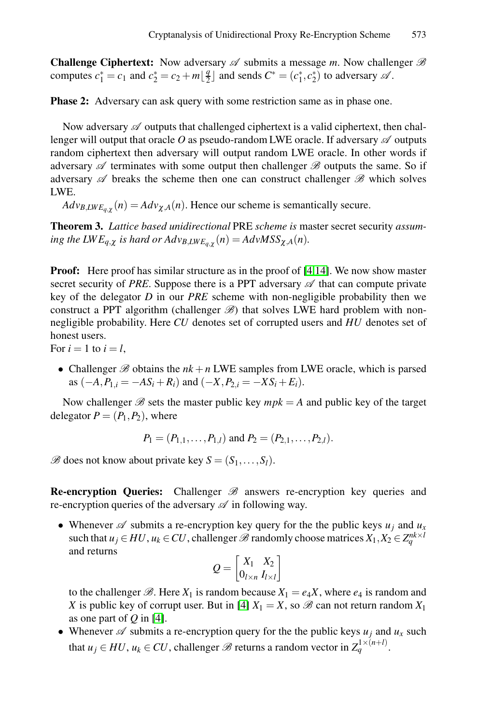**Challenge Ciphertext:** Now adversary  $\mathscr A$  submits a message *m*. Now challenger  $\mathscr B$ computes  $c_1^* = c_1$  and  $c_2^* = c_2 + m\left[\frac{q}{2}\right]$  and sends  $C^* = (c_1^*, c_2^*)$  to adversary  $\mathscr A$ .

**Phase 2:** Adversary can ask query with some restriction same as in phase one.

Now adversary  $\mathscr A$  outputs that challenged ciphertext is a valid ciphertext, then challenger will output that oracle *O* as pseudo-random LWE oracle. If adversary *A* outputs random ciphertext then adversary will output random LWE oracle. In other words if adversary *A* terminates with some ou[tp](#page-10-2)[ut t](#page-11-1)hen challenger *B* outputs the same. So if adversary *A* breaks the scheme then one can construct challenger *B* which solves LWE.

 $Adv_{B,LWE_{a\gamma}}(n) = Adv_{\gamma,A}(n)$ . Hence our scheme is semantically secure.

**Theorem 3.** *Lattice based unidirectional* PRE *scheme is* master secret security *assuming the LWE<sub>q</sub>*,*x is hard or Adv<sub>B</sub>,LWE<sub>a,<i>x*</sub></sub>(*n*) =  $AdvMSS_{\chi,A}(n)$ *.* 

**Proof:** Here proof has similar structure as in the proof of [4,14]. We now show master secret security of *PRE*. Suppose there is a PPT adversary  $\mathscr A$  that can compute private key of the delegator *D* in our *PRE* scheme with non-negligible probability then we construct a PPT algorithm (challenger  $\mathscr{B}$ ) that solves LWE hard problem with nonnegligible probability. Here *CU* denotes set of corrupted users and *HU* denotes set of honest users.

For  $i = 1$  to  $i = l$ ,

• Challenger  $\mathscr B$  obtains the  $nk + n$  LWE samples from LWE oracle, which is parsed as  $(-A, P_{1,i} = -AS_i + R_i)$  and  $(-X, P_{2,i} = -XS_i + E_i)$ .

Now challenger  $\mathcal{B}$  sets the master public key  $mpk = A$  and public key of the target delegator  $P = (P_1, P_2)$ , where

$$
P_1 = (P_{1,1}, \ldots, P_{1,l})
$$
 and  $P_2 = (P_{2,1}, \ldots, P_{2,l}).$ 

 $\mathscr{B}$  does not know about private key  $S = (S_1, \ldots, S_l)$ .

**Re-encryption Queries:** Challenger *B* answers re-encryption key queries and re-encryption queries o[f th](#page-10-2)e adversary *A* in following way.

• [W](#page-10-2)henever  $\mathscr A$  submits a re-encryption key query for the the public keys  $u_i$  and  $u_x$ such that  $u_j \in HU$ ,  $u_k \in CU$ , challenger  $\mathscr B$  randomly choose matrices  $X_1, X_2 \in Z_q^{nk \times l}$ and returns

$$
Q = \begin{bmatrix} X_1 & X_2 \\ 0_{l \times n} & I_{l \times l} \end{bmatrix}
$$

to the challenger  $\mathcal{B}$ . Here  $X_1$  is random because  $X_1 = e_4 X$ , where  $e_4$  is random and *X* is public key of corrupt user. But in [4]  $X_1 = X$ , so  $\mathcal{B}$  can not return random  $X_1$ as one part of *Q* in [4].

• Whenever  $\mathscr A$  submits a re-encryption query for the the public keys  $u_i$  and  $u_x$  such that  $u_j \in HU$ ,  $u_k \in CU$ , challenger  $\mathscr B$  returns a random vector in  $Z_q^{1 \times (n+1)}$ .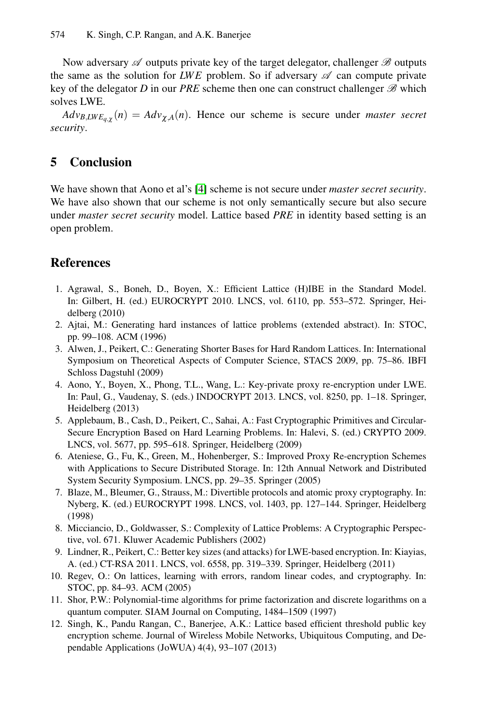<span id="page-10-5"></span>Now adversary *A* outputs private key of the target delegator, challenger *B* outputs the same as the solution for *LWE* problem. So if adversary  $\mathscr A$  can compute private key of the del[eg](#page-10-2)ator *D* in our *PRE* scheme then one can construct challenger *B* which solves LWE.

<span id="page-10-8"></span> $Adv_{B,LWE_{a,x}}(n) = Adv_{\chi,A}(n)$ . Hence our scheme is secure under *master secret security*.

### **5 Conclusion**

<span id="page-10-6"></span><span id="page-10-2"></span>We have shown that Aono et al's [4] scheme is not secure under *master secret security*. We have also shown that our scheme is not only semantically secure but also secure under *master secret security* model. Lattice based *PRE* in identity based setting is an open problem.

### <span id="page-10-1"></span>**References**

- <span id="page-10-0"></span>1. Agrawal, S., Boneh, D., Boyen, X.: Efficient Lattice (H)IBE in the Standard Model. In: Gilbert, H. (ed.) EUROCRYPT 2010. LNCS, vol. 6110, pp. 553–572. Springer, Heidelberg (2010)
- <span id="page-10-3"></span>2. Ajtai, M.: Generating hard instances of lattice problems (extended abstract). In: STOC, pp. 99–108. ACM (1996)
- <span id="page-10-7"></span>3. Alwen, J., Peikert, C.: Generating Shorter Bases for Hard Random Lattices. In: International Symposium on Theoretical Aspects of Computer Science, STACS 2009, pp. 75–86. IBFI Schloss Dagstuhl (2009)
- <span id="page-10-4"></span>4. Aono, Y., Boyen, X., Phong, T.L., Wang, L.: Key-private proxy re-encryption under LWE. In: Paul, G., Vaudenay, S. (eds.) INDOCRYPT 2013. LNCS, vol. 8250, pp. 1–18. Springer, Heidelberg (2013)
- 5. Applebaum, B., Cash, D., Peikert, C., Sahai, A.: Fast Cryptographic Primitives and Circular-Secure Encryption Based on Hard Learning Problems. In: Halevi, S. (ed.) CRYPTO 2009. LNCS, vol. 5677, pp. 595–618. Springer, Heidelberg (2009)
- 6. Ateniese, G., Fu, K., Green, M., Hohenberger, S.: Improved Proxy Re-encryption Schemes with Applications to Secure Distributed Storage. In: 12th Annual Network and Distributed System Security Symposium. LNCS, pp. 29–35. Springer (2005)
- 7. Blaze, M., Bleumer, G., Strauss, M.: Divertible protocols and atomic proxy cryptography. In: Nyberg, K. (ed.) EUROCRYPT 1998. LNCS, vol. 1403, pp. 127–144. Springer, Heidelberg (1998)
- 8. Micciancio, D., Goldwasser, S.: Complexity of Lattice Problems: A Cryptographic Perspective, vol. 671. Kluwer Academic Publishers (2002)
- 9. Lindner, R., Peikert, C.: Better key sizes (and attacks) for LWE-based encryption. In: Kiayias, A. (ed.) CT-RSA 2011. LNCS, vol. 6558, pp. 319–339. Springer, Heidelberg (2011)
- 10. Regev, O.: On lattices, learning with errors, random linear codes, and cryptography. In: STOC, pp. 84–93. ACM (2005)
- 11. Shor, P.W.: Polynomial-time algorithms for prime factorization and discrete logarithms on a quantum computer. SIAM Journal on Computing, 1484–1509 (1997)
- 12. Singh, K., Pandu Rangan, C., Banerjee, A.K.: Lattice based efficient threshold public key encryption scheme. Journal of Wireless Mobile Networks, Ubiquitous Computing, and Dependable Applications (JoWUA) 4(4), 93–107 (2013)